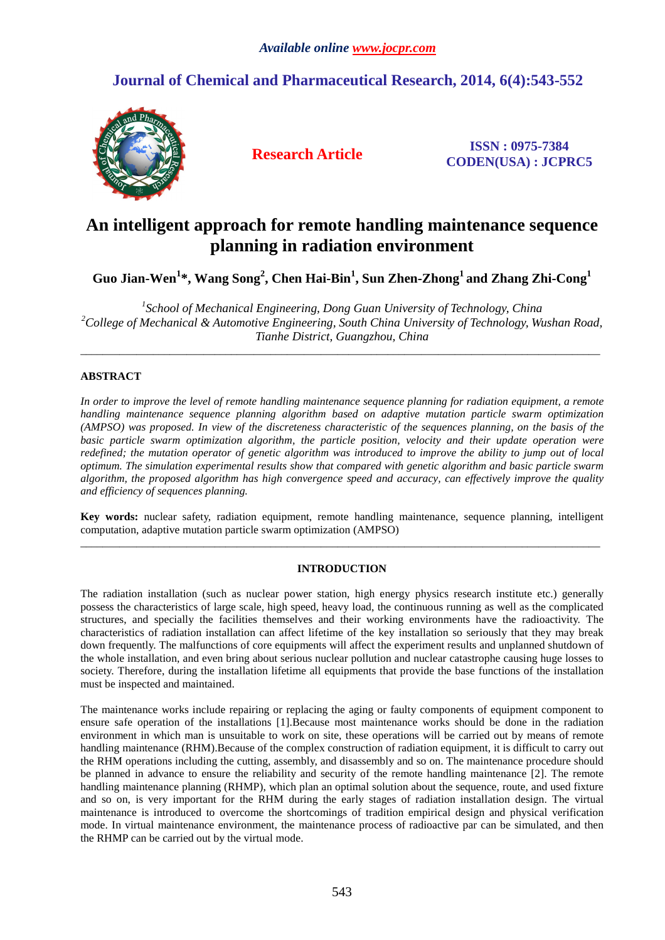# **Journal of Chemical and Pharmaceutical Research, 2014, 6(4):543-552**



**Research Article ISSN : 0975-7384 CODEN(USA) : JCPRC5**

# **An intelligent approach for remote handling maintenance sequence planning in radiation environment**

**Guo Jian-Wen<sup>1</sup> \*, Wang Song<sup>2</sup> , Chen Hai-Bin<sup>1</sup> , Sun Zhen-Zhong<sup>1</sup>and Zhang Zhi-Cong<sup>1</sup>**

<sup>1</sup> School of Mechanical Engineering, Dong Guan University of Technology, China *<sup>2</sup>College of Mechanical & Automotive Engineering, South China University of Technology, Wushan Road, Tianhe District, Guangzhou, China* 

\_\_\_\_\_\_\_\_\_\_\_\_\_\_\_\_\_\_\_\_\_\_\_\_\_\_\_\_\_\_\_\_\_\_\_\_\_\_\_\_\_\_\_\_\_\_\_\_\_\_\_\_\_\_\_\_\_\_\_\_\_\_\_\_\_\_\_\_\_\_\_\_\_\_\_\_\_\_\_\_\_\_\_\_\_\_\_\_\_\_\_\_\_

# **ABSTRACT**

*In order to improve the level of remote handling maintenance sequence planning for radiation equipment, a remote handling maintenance sequence planning algorithm based on adaptive mutation particle swarm optimization (AMPSO) was proposed. In view of the discreteness characteristic of the sequences planning, on the basis of the basic particle swarm optimization algorithm, the particle position, velocity and their update operation were redefined; the mutation operator of genetic algorithm was introduced to improve the ability to jump out of local optimum. The simulation experimental results show that compared with genetic algorithm and basic particle swarm algorithm, the proposed algorithm has high convergence speed and accuracy, can effectively improve the quality and efficiency of sequences planning.* 

**Key words:** nuclear safety, radiation equipment, remote handling maintenance, sequence planning, intelligent computation, adaptive mutation particle swarm optimization (AMPSO)  $\overline{a}$  , and the contribution of the contribution of the contribution of the contribution of the contribution of the contribution of the contribution of the contribution of the contribution of the contribution of the co

# **INTRODUCTION**

The radiation installation (such as nuclear power station, high energy physics research institute etc.) generally possess the characteristics of large scale, high speed, heavy load, the continuous running as well as the complicated structures, and specially the facilities themselves and their working environments have the radioactivity. The characteristics of radiation installation can affect lifetime of the key installation so seriously that they may break down frequently. The malfunctions of core equipments will affect the experiment results and unplanned shutdown of the whole installation, and even bring about serious nuclear pollution and nuclear catastrophe causing huge losses to society. Therefore, during the installation lifetime all equipments that provide the base functions of the installation must be inspected and maintained.

The maintenance works include repairing or replacing the aging or faulty components of equipment component to ensure safe operation of the installations [1].Because most maintenance works should be done in the radiation environment in which man is unsuitable to work on site, these operations will be carried out by means of remote handling maintenance (RHM).Because of the complex construction of radiation equipment, it is difficult to carry out the RHM operations including the cutting, assembly, and disassembly and so on. The maintenance procedure should be planned in advance to ensure the reliability and security of the remote handling maintenance [2]. The remote handling maintenance planning (RHMP), which plan an optimal solution about the sequence, route, and used fixture and so on, is very important for the RHM during the early stages of radiation installation design. The virtual maintenance is introduced to overcome the shortcomings of tradition empirical design and physical verification mode. In virtual maintenance environment, the maintenance process of radioactive par can be simulated, and then the RHMP can be carried out by the virtual mode.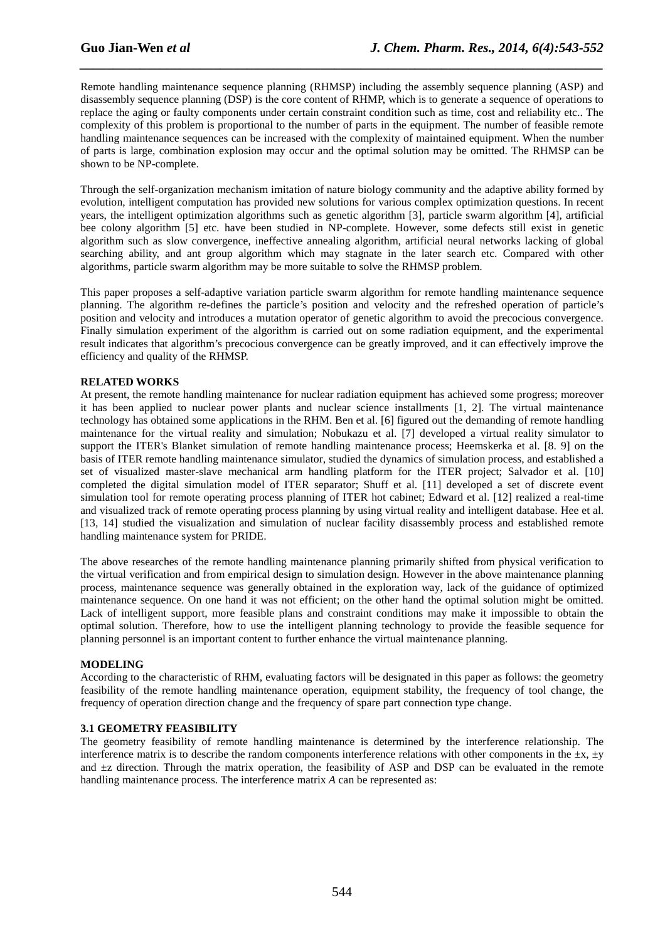Remote handling maintenance sequence planning (RHMSP) including the assembly sequence planning (ASP) and disassembly sequence planning (DSP) is the core content of RHMP, which is to generate a sequence of operations to replace the aging or faulty components under certain constraint condition such as time, cost and reliability etc.. The complexity of this problem is proportional to the number of parts in the equipment. The number of feasible remote handling maintenance sequences can be increased with the complexity of maintained equipment. When the number of parts is large, combination explosion may occur and the optimal solution may be omitted. The RHMSP can be shown to be NP-complete.

*\_\_\_\_\_\_\_\_\_\_\_\_\_\_\_\_\_\_\_\_\_\_\_\_\_\_\_\_\_\_\_\_\_\_\_\_\_\_\_\_\_\_\_\_\_\_\_\_\_\_\_\_\_\_\_\_\_\_\_\_\_\_\_\_\_\_\_\_\_\_\_\_\_\_\_\_\_\_*

Through the self-organization mechanism imitation of nature biology community and the adaptive ability formed by evolution, intelligent computation has provided new solutions for various complex optimization questions. In recent years, the intelligent optimization algorithms such as genetic algorithm [3], particle swarm algorithm [4], artificial bee colony algorithm [5] etc. have been studied in NP-complete. However, some defects still exist in genetic algorithm such as slow convergence, ineffective annealing algorithm, artificial neural networks lacking of global searching ability, and ant group algorithm which may stagnate in the later search etc. Compared with other algorithms, particle swarm algorithm may be more suitable to solve the RHMSP problem.

This paper proposes a self-adaptive variation particle swarm algorithm for remote handling maintenance sequence planning. The algorithm re-defines the particle's position and velocity and the refreshed operation of particle's position and velocity and introduces a mutation operator of genetic algorithm to avoid the precocious convergence. Finally simulation experiment of the algorithm is carried out on some radiation equipment, and the experimental result indicates that algorithm's precocious convergence can be greatly improved, and it can effectively improve the efficiency and quality of the RHMSP.

# **RELATED WORKS**

At present, the remote handling maintenance for nuclear radiation equipment has achieved some progress; moreover it has been applied to nuclear power plants and nuclear science installments [1, 2]. The virtual maintenance technology has obtained some applications in the RHM. Ben et al. [6] figured out the demanding of remote handling maintenance for the virtual reality and simulation; Nobukazu et al. [7] developed a virtual reality simulator to support the ITER's Blanket simulation of remote handling maintenance process; Heemskerka et al. [8. 9] on the basis of ITER remote handling maintenance simulator, studied the dynamics of simulation process, and established a set of visualized master-slave mechanical arm handling platform for the ITER project; Salvador et al. [10] completed the digital simulation model of ITER separator; Shuff et al. [11] developed a set of discrete event simulation tool for remote operating process planning of ITER hot cabinet; Edward et al. [12] realized a real-time and visualized track of remote operating process planning by using virtual reality and intelligent database. Hee et al. [13, 14] studied the visualization and simulation of nuclear facility disassembly process and established remote handling maintenance system for PRIDE.

The above researches of the remote handling maintenance planning primarily shifted from physical verification to the virtual verification and from empirical design to simulation design. However in the above maintenance planning process, maintenance sequence was generally obtained in the exploration way, lack of the guidance of optimized maintenance sequence. On one hand it was not efficient; on the other hand the optimal solution might be omitted. Lack of intelligent support, more feasible plans and constraint conditions may make it impossible to obtain the optimal solution. Therefore, how to use the intelligent planning technology to provide the feasible sequence for planning personnel is an important content to further enhance the virtual maintenance planning.

# **MODELING**

According to the characteristic of RHM, evaluating factors will be designated in this paper as follows: the geometry feasibility of the remote handling maintenance operation, equipment stability, the frequency of tool change, the frequency of operation direction change and the frequency of spare part connection type change.

# **3.1 GEOMETRY FEASIBILITY**

The geometry feasibility of remote handling maintenance is determined by the interference relationship. The interference matrix is to describe the random components interference relations with other components in the  $\pm x$ ,  $\pm y$ and ±z direction. Through the matrix operation, the feasibility of ASP and DSP can be evaluated in the remote handling maintenance process. The interference matrix *A* can be represented as: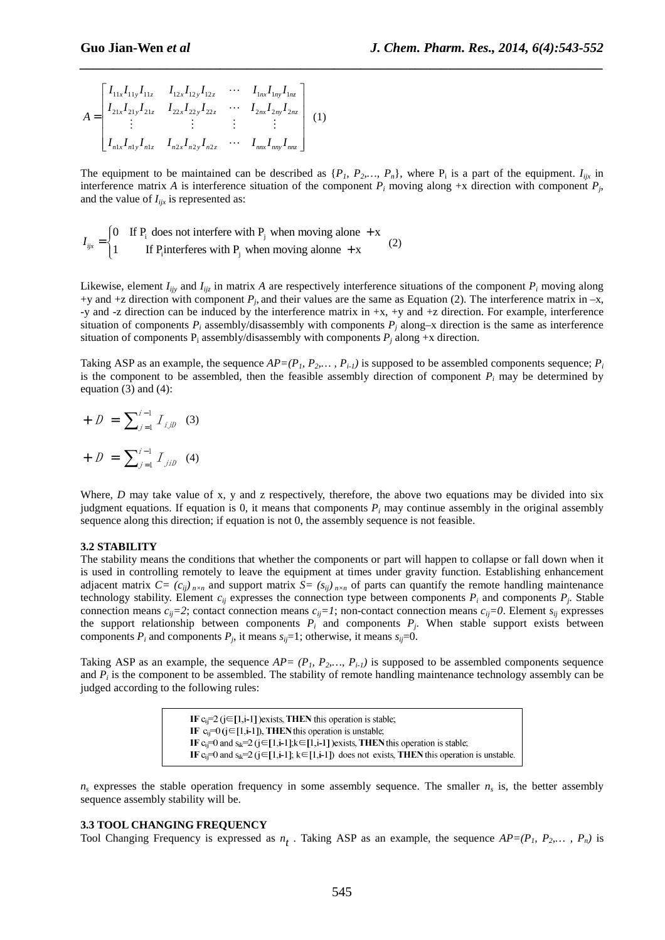$$
A = \begin{bmatrix} I_{11x}I_{11y}I_{11z} & I_{12x}I_{12y}I_{12z} & \cdots & I_{1nx}I_{1ny}I_{1nz} \\ I_{21x}I_{21y}I_{21z} & I_{22x}I_{22y}I_{22z} & \cdots & I_{2nx}I_{2ny}I_{2nz} \\ \vdots & \vdots & \vdots & \vdots \\ I_{n1x}I_{n1y}I_{n1z} & I_{n2x}I_{n2y}I_{n2z} & \cdots & I_{nnx}I_{nny}I_{nnz} \end{bmatrix} (1)
$$

The equipment to be maintained can be described as  $\{P_1, P_2, \ldots, P_n\}$ , where  $P_i$  is a part of the equipment.  $I_{ijk}$  in interference matrix A is interference situation of the component  $P_i$  moving along +x direction with component  $P_j$ , and the value of  $I_{iix}$  is represented as:

*\_\_\_\_\_\_\_\_\_\_\_\_\_\_\_\_\_\_\_\_\_\_\_\_\_\_\_\_\_\_\_\_\_\_\_\_\_\_\_\_\_\_\_\_\_\_\_\_\_\_\_\_\_\_\_\_\_\_\_\_\_\_\_\_\_\_\_\_\_\_\_\_\_\_\_\_\_\_*

$$
I_{ijx} = \begin{cases} 0 & \text{If } P_i \text{ does not interfere with } P_j \text{ when moving alone } + x \\ 1 & \text{If } P_i \text{interfers with } P_j \text{ when moving alone } + x \end{cases} (2)
$$

Likewise, element  $I_{ijy}$  and  $I_{ijz}$  in matrix A are respectively interference situations of the component  $P_i$  moving along +y and +z direction with component  $P_j$ , and their values are the same as Equation (2). The interference matrix in –x, -y and -z direction can be induced by the interference matrix in +x, +y and +z direction. For example, interference situation of components  $P_i$  assembly/disassembly with components  $P_j$  along–x direction is the same as interference situation of components  $P_i$  assembly/disassembly with components  $P_j$  along +x direction.

Taking ASP as an example, the sequence  $AP=(P_1, P_2, \ldots, P_{i-1})$  is supposed to be assembled components sequence;  $P_i$ is the component to be assembled, then the feasible assembly direction of component  $P_i$  may be determined by equation  $(3)$  and  $(4)$ :

+ 
$$
D = \sum_{j=1}^{i-1} I_{j,jD}
$$
 (3)  
+  $D = \sum_{j=1}^{i-1} I_{jjD}$  (4)

Where, *D* may take value of x, y and z respectively, therefore, the above two equations may be divided into six judgment equations. If equation is 0, it means that components *P<sup>i</sup>* may continue assembly in the original assembly sequence along this direction; if equation is not 0, the assembly sequence is not feasible.

# **3.2 STABILITY**

The stability means the conditions that whether the components or part will happen to collapse or fall down when it is used in controlling remotely to leave the equipment at times under gravity function. Establishing enhancement adjacent matrix  $C = (c_{ii})_{n \times n}$  and support matrix  $S = (s_{ii})_{n \times n}$  of parts can quantify the remote handling maintenance technology stability. Element  $c_{ij}$  expresses the connection type between components  $P_i$  and components  $P_j$ . Stable connection means  $c_{ij}$ =2; contact connection means  $c_{ij}$ =1; non-contact connection means  $c_{ij}$ =0. Element  $s_{ij}$  expresses the support relationship between components  $P_i$  and components  $P_j$ . When stable support exists between components  $P_i$  and components  $P_j$ , it means  $s_{ij}$ =1; otherwise, it means  $s_{ij}$ =0.

Taking ASP as an example, the sequence  $AP = (P_1, P_2, \ldots, P_{i-1})$  is supposed to be assembled components sequence and  $P_i$  is the component to be assembled. The stability of remote handling maintenance technology assembly can be judged according to the following rules:

> IF  $c_i = 2$  (j $\in$ [1,i-1] ) exists, THEN this operation is stable; IF  $c_{ii} = 0$  ( $j \in [1, i-1]$ ), THEN this operation is unstable; IF  $c_i=0$  and  $s_{ik}=2$  ( $j \in [1,i-1]$ ; $k \in [1,i-1]$  ) exists, THEN this operation is stable; IF  $c_i=0$  and  $s_{ik}=2$  ( $j \in [1, i-1]$ ;  $k \in [1, i-1]$ ) does not exists, THEN this operation is unstable.

 $n_s$  expresses the stable operation frequency in some assembly sequence. The smaller  $n_s$  is, the better assembly sequence assembly stability will be.

#### **3.3 TOOL CHANGING FREQUENCY**

Tool Changing Frequency is expressed as  $n_t$ . Taking ASP as an example, the sequence  $AP=(P_1, P_2, \ldots, P_n)$  is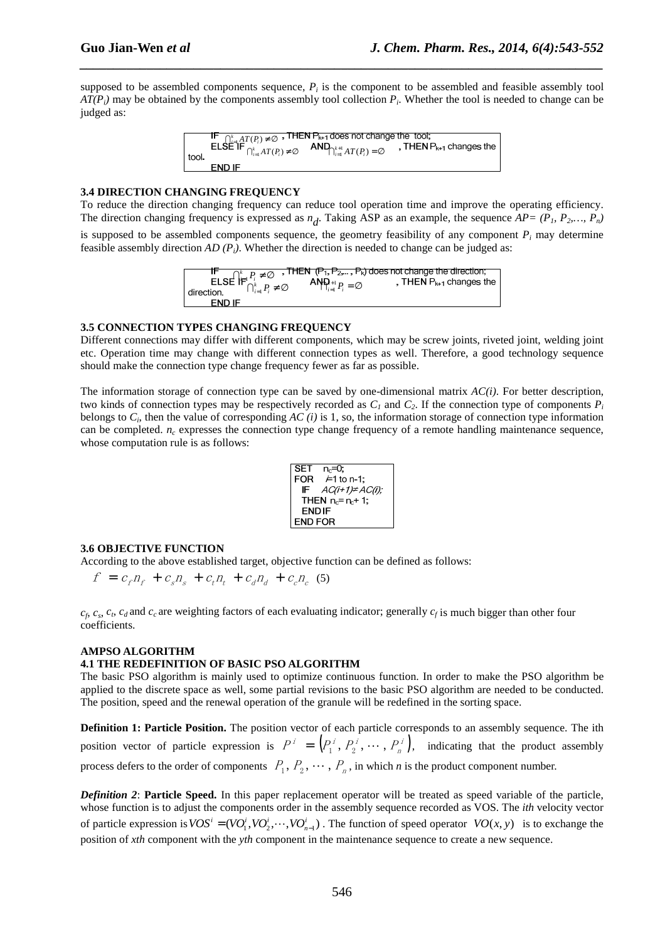supposed to be assembled components sequence,  $P_i$  is the component to be assembled and feasible assembly tool *AT(Pi)* may be obtained by the components assembly tool collection *P<sup>i</sup>* . Whether the tool is needed to change can be judged as:

*\_\_\_\_\_\_\_\_\_\_\_\_\_\_\_\_\_\_\_\_\_\_\_\_\_\_\_\_\_\_\_\_\_\_\_\_\_\_\_\_\_\_\_\_\_\_\_\_\_\_\_\_\_\_\_\_\_\_\_\_\_\_\_\_\_\_\_\_\_\_\_\_\_\_\_\_\_\_*

 $\bigcap_{i=1}^k AT(P_i) \neq \emptyset$  $\bigcap_{i=1}^k AT(P_i) \neq \emptyset$  **AIN**  $\bigcap_{i=1}^{k+1} AT(P_i) = \emptyset$ tool

# **3.4 DIRECTION CHANGING FREQUENCY**

To reduce the direction changing frequency can reduce tool operation time and improve the operating efficiency. The direction changing frequency is expressed as  $n_d$ . Taking ASP as an example, the sequence  $AP = (P_1, P_2, ..., P_n)$ is supposed to be assembled components sequence, the geometry feasibility of any component  $P_i$  may determine

feasible assembly direction *AD (Pi)*. Whether the direction is needed to change can be judged as:

 $\bigcap_{i=1}^k P_i \neq \emptyset$ , THEN  $P_{k+1}$  changes the  $\bigcap_{i=1}^k P_i \neq \emptyset$  **AIP**<sub> $i=1$ </sub> $P_i = \emptyset$ END IF

# **3.5 CONNECTION TYPES CHANGING FREQUENCY**

Different connections may differ with different components, which may be screw joints, riveted joint, welding joint etc. Operation time may change with different connection types as well. Therefore, a good technology sequence should make the connection type change frequency fewer as far as possible.

The information storage of connection type can be saved by one-dimensional matrix *AC(i)*. For better description, two kinds of connection types may be respectively recorded as  $C<sub>1</sub>$  and  $C<sub>2</sub>$ . If the connection type of components  $P<sub>i</sub>$ belongs to  $C_i$ , then the value of corresponding  $AC(i)$  is 1, so, the information storage of connection type information can be completed. *n<sup>c</sup>* expresses the connection type change frequency of a remote handling maintenance sequence, whose computation rule is as follows:



# **3.6 OBJECTIVE FUNCTION**

According to the above established target, objective function can be defined as follows:

$$
f = c_f n_f + c_s n_s + c_t n_t + c_d n_d + c_c n_c
$$
 (5)

 $c_f$ ,  $c_s$ ,  $c_t$ ,  $c_d$  and  $c_c$  are weighting factors of each evaluating indicator; generally  $c_f$  is much bigger than other four coefficients.

# **AMPSO ALGORITHM**

# **4.1 THE REDEFINITION OF BASIC PSO ALGORITHM**

The basic PSO algorithm is mainly used to optimize continuous function. In order to make the PSO algorithm be applied to the discrete space as well, some partial revisions to the basic PSO algorithm are needed to be conducted. The position, speed and the renewal operation of the granule will be redefined in the sorting space.

**Definition 1: Particle Position.** The position vector of each particle corresponds to an assembly sequence. The ith position vector of particle expression is  $P^i = \left( P_1^i, P_2^i, \dots, P_n^i \right)$ ,  $P^i = \left( P_1^i, P_2^i, \dots, P_n^i \right)$ , indicating that the product assembly process defers to the order of components  $P_1, P_2, \cdots, P_n$ , in which *n* is the product component number.

*Definition 2*: **Particle Speed.** In this paper replacement operator will be treated as speed variable of the particle, whose function is to adjust the components order in the assembly sequence recorded as VOS. The *ith* velocity vector of particle expression is  $VOS^i = (VO_1^i, VO_2^i, \dots, VO_{n-1}^i)$ . The function of speed operator  $VO(x, y)$  is to exchange the position of *xth* component with the *yth* component in the maintenance sequence to create a new sequence.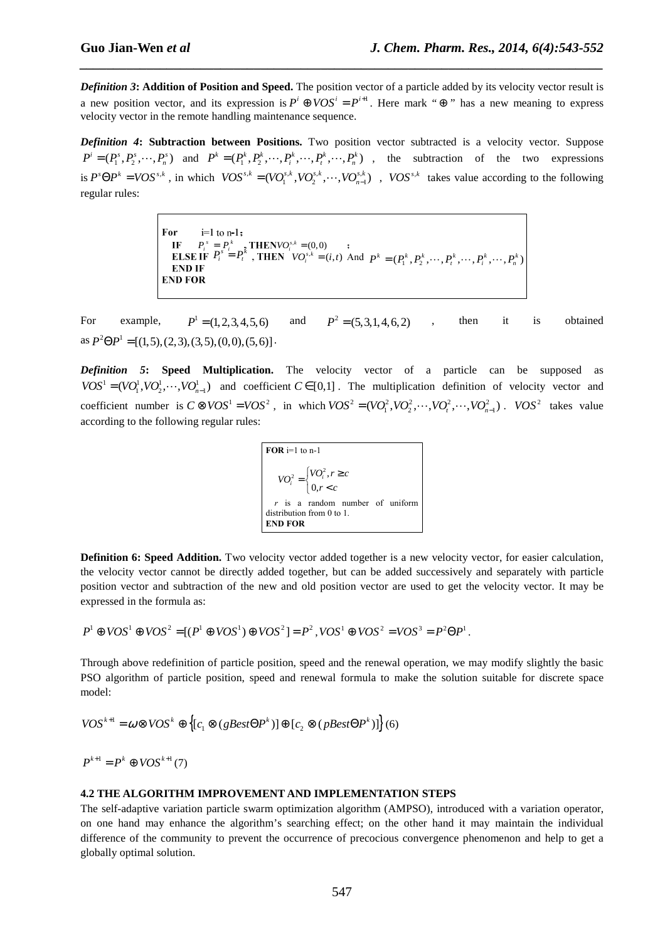*Definition 3***: Addition of Position and Speed.** The position vector of a particle added by its velocity vector result is a new position vector, and its expression is  $P^i \oplus VOS^i = P^{i+1}$ . Here mark " $\oplus$ " has a new meaning to express velocity vector in the remote handling maintenance sequence.

*\_\_\_\_\_\_\_\_\_\_\_\_\_\_\_\_\_\_\_\_\_\_\_\_\_\_\_\_\_\_\_\_\_\_\_\_\_\_\_\_\_\_\_\_\_\_\_\_\_\_\_\_\_\_\_\_\_\_\_\_\_\_\_\_\_\_\_\_\_\_\_\_\_\_\_\_\_\_*

*Definition 4***: Subtraction between Positions.** Two position vector subtracted is a velocity vector. Suppose  $P^i = (P_1^s, P_2^s, \dots, P_n^s)$  and  $P^k = (P_1^k, P_2^k, \dots, P_i^k, \dots, P_n^k, \dots, P_n^k)$ , the subtraction of the two expressions is  $P^s \Theta P^k = VOS^{s,k}$ , in which  $VOS^{s,k} = (VO_1^{s,k}, VO_2^{s,k}, \cdots, VO_{n-1}^{s,k})$ ,  $VOS^{s,k}$  takes value according to the following regular rules:

> For  $i=1$  to  $n-1$ :  $P_i^s = P_i^k$ <br>  $P_i^s = P_i^k$ , THEN  $VO_i^{s,k} = (i,t)$  And  $P^k = (P_1^k, P_2^k, \dots, P_i^k, \dots, P_i^k, \dots, P_n^k)$ **END IF END FOR**

For example,  $P^1 = (1, 2, 3, 4, 5, 6)$  and  $P^2 = (5, 3, 1, 4, 6, 2)$ , then it is obtained as  $P^2 \Theta P^1 = [(1,5), (2,3), (3,5), (0,0), (5,6)]$ .

*Definition 5***: Speed Multiplication.** The velocity vector of a particle can be supposed as  $VOS^1 = (VO_1^1, VO_2^1, \dots, VO_{n-1}^1)$  and coefficient  $C \in [0,1]$ . The multiplication definition of velocity vector and coefficient number is  $C \otimes VOS^1 = VOS^2$ , in which  $VOS^2 = (VO_1^2, VO_2^2, \dots, VO_r^2, \dots, VO_{n-1}^2)$ .  $VOS^2$  takes value according to the following regular rules:

> $\bigcup_{i=1}^{2} \big[ V O_i^2,$  $\label{eq:V} VO_i^2 = \begin{cases} VO_i^2, r \ge c \\ 0, r < c \end{cases}$  $=\begin{cases} VO_i^2, r \geq \\ 0, r < c \end{cases}$  $\overline{FOR}$  i=1 to n-1 *r* is a random number of uniform distribution from 0 to 1. **END FOR**

**Definition 6: Speed Addition.** Two velocity vector added together is a new velocity vector, for easier calculation, the velocity vector cannot be directly added together, but can be added successively and separately with particle position vector and subtraction of the new and old position vector are used to get the velocity vector. It may be expressed in the formula as:

$$
P^1 \oplus VOS^1 \oplus VOS^2 = [(P^1 \oplus VOS^1) \oplus VOS^2] = P^2, VOS^1 \oplus VOS^2 = VOS^3 = P^2 \Theta P^1.
$$

Through above redefinition of particle position, speed and the renewal operation, we may modify slightly the basic PSO algorithm of particle position, speed and renewal formula to make the solution suitable for discrete space model:

 $VOS^{k+1} = \omega \otimes VOS^k \oplus \left\{ [c_1 \otimes (gBest\Theta P^k)] \oplus [c_2 \otimes (pBest\Theta P^k)] \right\}$  (6)

 $P^{k+1} = P^k \oplus VOS^{k+1}(7)$ 

#### **4.2 THE ALGORITHM IMPROVEMENT AND IMPLEMENTATION STEPS**

The self-adaptive variation particle swarm optimization algorithm (AMPSO), introduced with a variation operator, on one hand may enhance the algorithm's searching effect; on the other hand it may maintain the individual difference of the community to prevent the occurrence of precocious convergence phenomenon and help to get a globally optimal solution.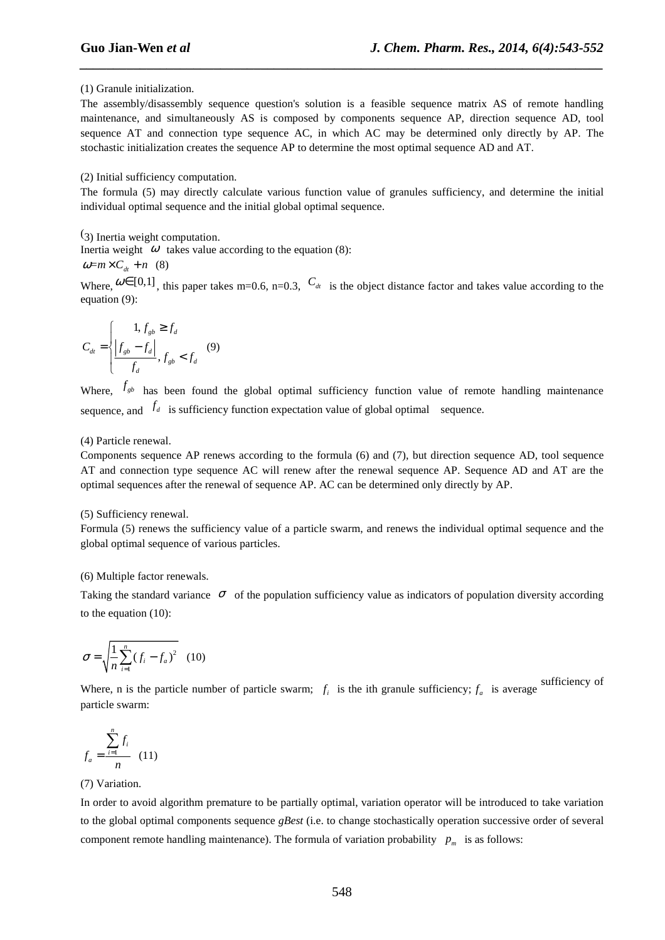#### (1) Granule initialization.

The assembly/disassembly sequence question's solution is a feasible sequence matrix AS of remote handling maintenance, and simultaneously AS is composed by components sequence AP, direction sequence AD, tool sequence AT and connection type sequence AC, in which AC may be determined only directly by AP. The stochastic initialization creates the sequence AP to determine the most optimal sequence AD and AT.

*\_\_\_\_\_\_\_\_\_\_\_\_\_\_\_\_\_\_\_\_\_\_\_\_\_\_\_\_\_\_\_\_\_\_\_\_\_\_\_\_\_\_\_\_\_\_\_\_\_\_\_\_\_\_\_\_\_\_\_\_\_\_\_\_\_\_\_\_\_\_\_\_\_\_\_\_\_\_*

#### (2) Initial sufficiency computation.

The formula (5) may directly calculate various function value of granules sufficiency, and determine the initial individual optimal sequence and the initial global optimal sequence.

(3) Inertia weight computation. Inertia weight  $\omega$  takes value according to the equation (8):

 $\omega=m\times C_a + n$  (8)

Where,  $\omega \in [0,1]$ , this paper takes m=0.6, n=0.3,  $C_{dt}$  is the object distance factor and takes value according to the equation (9):

$$
C_{dt} = \begin{cases} 1, f_{gb} \ge f_d \\ \left| f_{gb} - f_d \right| \\ f_d \end{cases}, f_{gb} < f_d \quad (9)
$$

Where,  $f_{sb}$  has been found the global optimal sufficiency function value of remote handling maintenance sequence, and  $f_d$  is sufficiency function expectation value of global optimal sequence.

#### (4) Particle renewal.

Components sequence AP renews according to the formula (6) and (7), but direction sequence AD, tool sequence AT and connection type sequence AC will renew after the renewal sequence AP. Sequence AD and AT are the optimal sequences after the renewal of sequence AP. AC can be determined only directly by AP.

#### (5) Sufficiency renewal.

Formula (5) renews the sufficiency value of a particle swarm, and renews the individual optimal sequence and the global optimal sequence of various particles.

#### (6) Multiple factor renewals.

Taking the standard variance  $\sigma$  of the population sufficiency value as indicators of population diversity according to the equation (10):

$$
\sigma = \sqrt{\frac{1}{n} \sum_{i=1}^{n} (f_i - f_a)^2}
$$
 (10)

Where, n is the particle number of particle swarm;  $f_i$  is the ith granule sufficiency;  $f_a$  is average sufficiency of particle swarm:

$$
f_a = \frac{\sum_{i=1}^n f_i}{n} \quad (11)
$$

# (7) Variation.

In order to avoid algorithm premature to be partially optimal, variation operator will be introduced to take variation to the global optimal components sequence *gBest* (i.e. to change stochastically operation successive order of several component remote handling maintenance). The formula of variation probability  $p_m$  is as follows: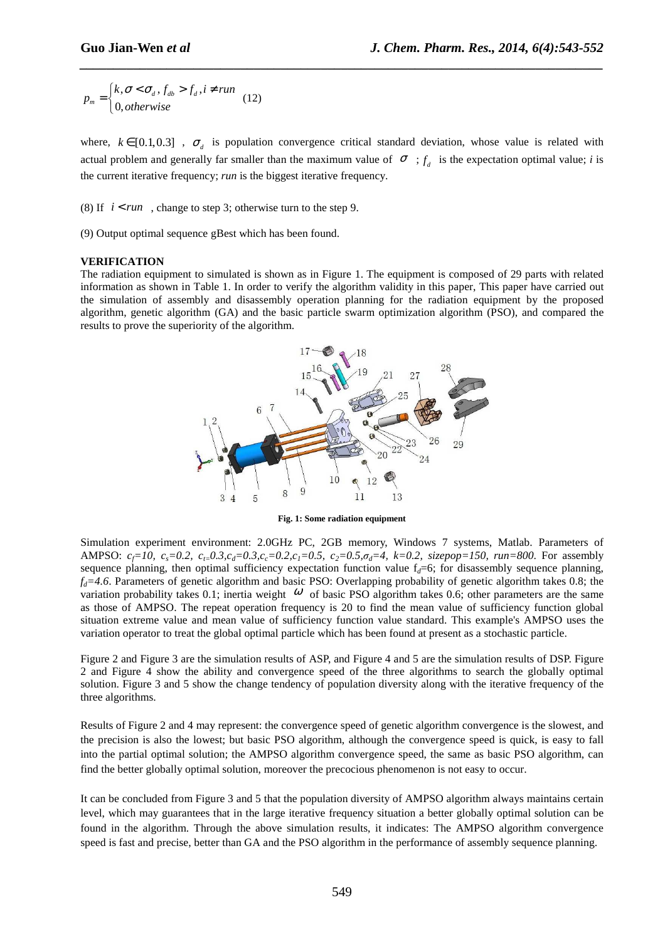$,\sigma < \sigma_{d}$ ,  $f_{db} > f_{d}$ , 0,  $d_m = \begin{cases} h, & \text{if } \mathcal{O} < \mathcal{O}_d, \mathcal{J}_{db} < \mathcal{J}_d \\ 0, & \text{if } \mathcal{O}_d \end{cases}$  $p_m = \begin{cases} k, \sigma \leq \sigma_d, f_{db} > f_d, i \neq run \end{cases}$ *otherwise*  $=\begin{cases} k, \sigma \lt \sigma_d, f_{db} > f_d, i \neq 0, \end{cases}$  $\overline{\mathfrak{l}}$ (12)

where,  $k \in [0.1, 0.3]$ ,  $\sigma_d$  is population convergence critical standard deviation, whose value is related with actual problem and generally far smaller than the maximum value of  $\sigma$ ;  $f_d$  is the expectation optimal value; *i* is the current iterative frequency; *run* is the biggest iterative frequency.

*\_\_\_\_\_\_\_\_\_\_\_\_\_\_\_\_\_\_\_\_\_\_\_\_\_\_\_\_\_\_\_\_\_\_\_\_\_\_\_\_\_\_\_\_\_\_\_\_\_\_\_\_\_\_\_\_\_\_\_\_\_\_\_\_\_\_\_\_\_\_\_\_\_\_\_\_\_\_*

(8) If  $i < run$ , change to step 3; otherwise turn to the step 9.

(9) Output optimal sequence gBest which has been found.

#### **VERIFICATION**

The radiation equipment to simulated is shown as in Figure 1. The equipment is composed of 29 parts with related information as shown in Table 1. In order to verify the algorithm validity in this paper, This paper have carried out the simulation of assembly and disassembly operation planning for the radiation equipment by the proposed algorithm, genetic algorithm (GA) and the basic particle swarm optimization algorithm (PSO), and compared the results to prove the superiority of the algorithm.



**Fig. 1: Some radiation equipment** 

Simulation experiment environment: 2.0GHz PC, 2GB memory, Windows 7 systems, Matlab. Parameters of AMPSO:  $c_f=10$ ,  $c_s=0.2$ ,  $c_t=0.3$ ,  $c_d=0.3$ ,  $c_c=0.2$ ,  $c_l=0.5$ ,  $c_2=0.5$ ,  $\sigma_d=4$ ,  $k=0.2$ , sizepop=150, run=800. For assembly sequence planning, then optimal sufficiency expectation function value  $f_d = 6$ ; for disassembly sequence planning,  $f_d = 4.6$ . Parameters of genetic algorithm and basic PSO: Overlapping probability of genetic algorithm takes 0.8; the variation probability takes 0.1; inertia weight  $\omega$  of basic PSO algorithm takes 0.6; other parameters are the same as those of AMPSO. The repeat operation frequency is 20 to find the mean value of sufficiency function global situation extreme value and mean value of sufficiency function value standard. This example's AMPSO uses the variation operator to treat the global optimal particle which has been found at present as a stochastic particle.

Figure 2 and Figure 3 are the simulation results of ASP, and Figure 4 and 5 are the simulation results of DSP. Figure 2 and Figure 4 show the ability and convergence speed of the three algorithms to search the globally optimal solution. Figure 3 and 5 show the change tendency of population diversity along with the iterative frequency of the three algorithms.

Results of Figure 2 and 4 may represent: the convergence speed of genetic algorithm convergence is the slowest, and the precision is also the lowest; but basic PSO algorithm, although the convergence speed is quick, is easy to fall into the partial optimal solution; the AMPSO algorithm convergence speed, the same as basic PSO algorithm, can find the better globally optimal solution, moreover the precocious phenomenon is not easy to occur.

It can be concluded from Figure 3 and 5 that the population diversity of AMPSO algorithm always maintains certain level, which may guarantees that in the large iterative frequency situation a better globally optimal solution can be found in the algorithm. Through the above simulation results, it indicates: The AMPSO algorithm convergence speed is fast and precise, better than GA and the PSO algorithm in the performance of assembly sequence planning.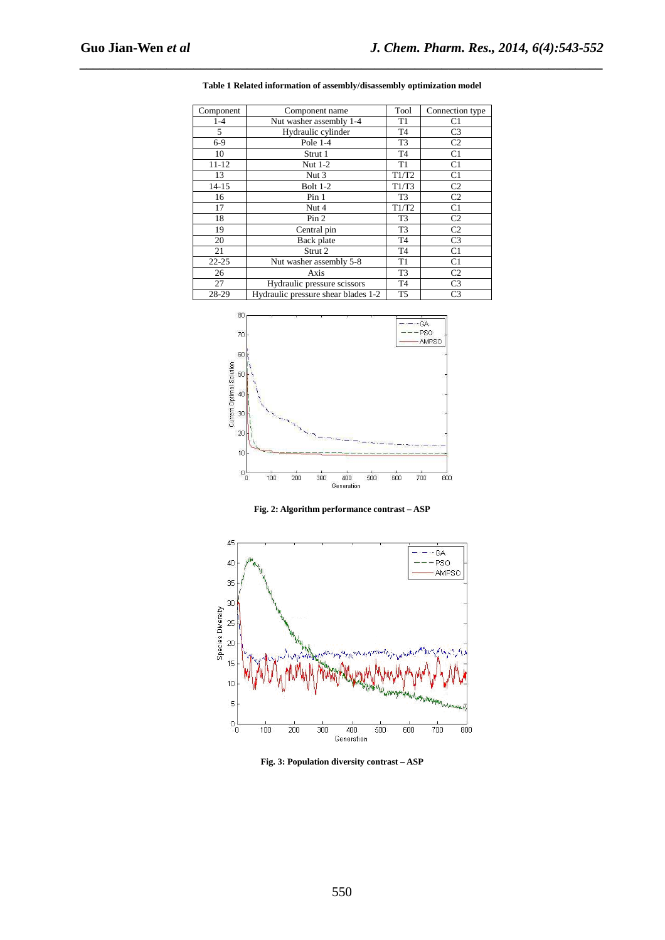| Component | Component name                      | Tool           | Connection type |
|-----------|-------------------------------------|----------------|-----------------|
| $1 - 4$   | Nut washer assembly 1-4             | T <sub>1</sub> | C <sub>1</sub>  |
| 5         | Hydraulic cylinder                  | T <sub>4</sub> | C <sub>3</sub>  |
| $6-9$     | Pole 1-4                            | T <sub>3</sub> | C <sub>2</sub>  |
| 10        | Strut 1                             | T <sub>4</sub> | C1              |
| $11 - 12$ | Nut 1-2                             | T <sub>1</sub> | C1              |
| 13        | Nut 3                               | T1/T2          | C1              |
| $14 - 15$ | <b>Bolt 1-2</b>                     | T1/T3          | C <sub>2</sub>  |
| 16        | Pin <sub>1</sub>                    | T <sub>3</sub> | C <sub>2</sub>  |
| 17        | Nut 4                               | T1/T2          | C1              |
| 18        | Pin 2                               | T <sub>3</sub> | C <sub>2</sub>  |
| 19        | Central pin                         | T <sub>3</sub> | C <sub>2</sub>  |
| 20        | Back plate                          | T <sub>4</sub> | C <sub>3</sub>  |
| 21        | Strut 2                             | T <sub>4</sub> | C1              |
| $22 - 25$ | Nut washer assembly 5-8             | T <sub>1</sub> | C1              |
| 26        | Axis                                | T <sub>3</sub> | C <sub>2</sub>  |
| 27        | Hydraulic pressure scissors         | T <sub>4</sub> | C <sub>3</sub>  |
| 28-29     | Hydraulic pressure shear blades 1-2 | T <sub>5</sub> | C <sub>3</sub>  |

**Table 1 Related information of assembly/disassembly optimization model** 

*\_\_\_\_\_\_\_\_\_\_\_\_\_\_\_\_\_\_\_\_\_\_\_\_\_\_\_\_\_\_\_\_\_\_\_\_\_\_\_\_\_\_\_\_\_\_\_\_\_\_\_\_\_\_\_\_\_\_\_\_\_\_\_\_\_\_\_\_\_\_\_\_\_\_\_\_\_\_*



**Fig. 2: Algorithm performance contrast – ASP** 



**Fig. 3: Population diversity contrast – ASP**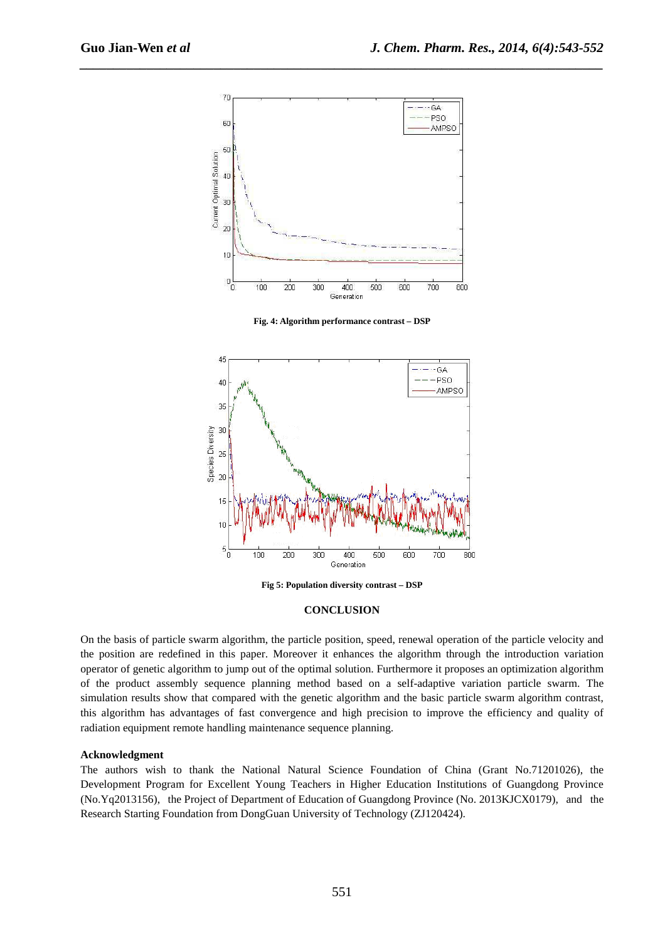

*\_\_\_\_\_\_\_\_\_\_\_\_\_\_\_\_\_\_\_\_\_\_\_\_\_\_\_\_\_\_\_\_\_\_\_\_\_\_\_\_\_\_\_\_\_\_\_\_\_\_\_\_\_\_\_\_\_\_\_\_\_\_\_\_\_\_\_\_\_\_\_\_\_\_\_\_\_\_*

**Fig. 4: Algorithm performance contrast – DSP** 



**Fig 5: Population diversity contrast – DSP** 

#### **CONCLUSION**

On the basis of particle swarm algorithm, the particle position, speed, renewal operation of the particle velocity and the position are redefined in this paper. Moreover it enhances the algorithm through the introduction variation operator of genetic algorithm to jump out of the optimal solution. Furthermore it proposes an optimization algorithm of the product assembly sequence planning method based on a self-adaptive variation particle swarm. The simulation results show that compared with the genetic algorithm and the basic particle swarm algorithm contrast, this algorithm has advantages of fast convergence and high precision to improve the efficiency and quality of radiation equipment remote handling maintenance sequence planning.

#### **Acknowledgment**

The authors wish to thank the National Natural Science Foundation of China (Grant No.71201026), the Development Program for Excellent Young Teachers in Higher Education Institutions of Guangdong Province (No.Yq2013156), the Project of Department of Education of Guangdong Province (No. 2013KJCX0179), and the Research Starting Foundation from DongGuan University of Technology (ZJ120424).